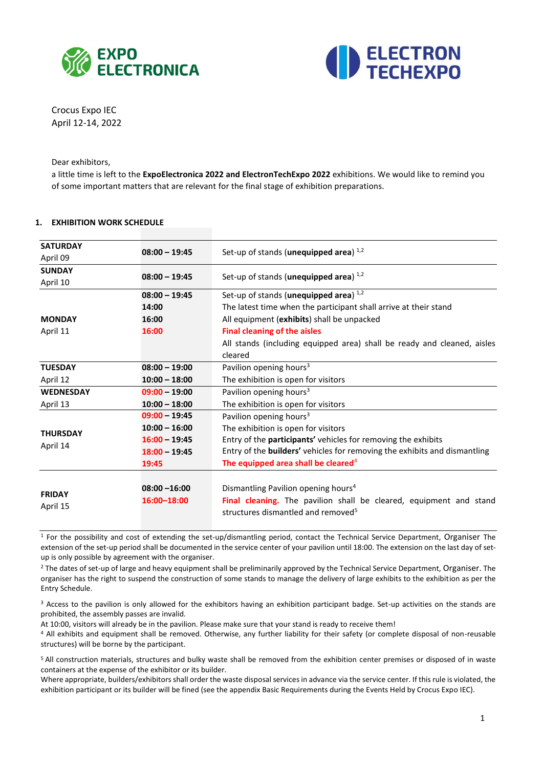



Crocus Expo IEC April 12-14, 2022

Dear exhibitors,

a little time is left to the **ExpoElectronica 2022 and ElectronTechExpo 2022** exhibitions. We would like to remind you of some important matters that are relevant for the final stage of exhibition preparations.

#### **1. EXHIBITION WORK SCHEDULE**

| <b>SATURDAY</b>                              |                 |                                                                           |  |  |
|----------------------------------------------|-----------------|---------------------------------------------------------------------------|--|--|
| April 09                                     | $08:00 - 19:45$ | Set-up of stands (unequipped area) $^{1,2}$                               |  |  |
| <b>SUNDAY</b><br>$08:00 - 19:45$<br>April 10 |                 | Set-up of stands (unequipped area) $^{1,2}$                               |  |  |
|                                              |                 |                                                                           |  |  |
|                                              | 14:00           | The latest time when the participant shall arrive at their stand          |  |  |
| <b>MONDAY</b>                                | 16:00           | All equipment (exhibits) shall be unpacked                                |  |  |
| April 11                                     | 16:00           | <b>Final cleaning of the aisles</b>                                       |  |  |
|                                              |                 | All stands (including equipped area) shall be ready and cleaned, aisles   |  |  |
|                                              |                 | cleared                                                                   |  |  |
| <b>TUESDAY</b>                               | $08:00 - 19:00$ | Pavilion opening hours <sup>3</sup>                                       |  |  |
| April 12                                     | $10:00 - 18:00$ | The exhibition is open for visitors                                       |  |  |
| <b>WEDNESDAY</b>                             | $09:00 - 19:00$ | Pavilion opening hours <sup>3</sup>                                       |  |  |
| April 13                                     | $10:00 - 18:00$ | The exhibition is open for visitors                                       |  |  |
|                                              | $09:00 - 19:45$ | Pavilion opening hours <sup>3</sup>                                       |  |  |
| <b>THURSDAY</b>                              | $10:00 - 16:00$ | The exhibition is open for visitors                                       |  |  |
|                                              | $16:00 - 19:45$ | Entry of the participants' vehicles for removing the exhibits             |  |  |
| April 14                                     | $18:00 - 19:45$ | Entry of the builders' vehicles for removing the exhibits and dismantling |  |  |
|                                              | 19:45           | The equipped area shall be cleared <sup>4</sup>                           |  |  |
|                                              |                 |                                                                           |  |  |
| <b>FRIDAY</b>                                | $08:00 - 16:00$ | Dismantling Pavilion opening hours <sup>4</sup>                           |  |  |
|                                              | 16:00-18:00     | Final cleaning. The pavilion shall be cleared, equipment and stand        |  |  |
| April 15                                     |                 | structures dismantled and removed <sup>5</sup>                            |  |  |
|                                              |                 |                                                                           |  |  |

<sup>1</sup> For the possibility and cost of extending the set-up/dismantling period, contact the Technical Service Department, Organiser The extension of the set-up period shall be documented in the service center of your pavilion until 18:00. The extension on the last day of setup is only possible by agreement with the organiser.

<sup>2</sup> The dates of set-up of large and heavy equipment shall be preliminarily approved by the Technical Service Department, Organiser. The organiser has the right to suspend the construction of some stands to manage the delivery of large exhibits to the exhibition as per the Entry Schedule.

<sup>3</sup> Access to the pavilion is only allowed for the exhibitors having an exhibition participant badge. Set-up activities on the stands are prohibited, the assembly passes are invalid.

At 10:00, visitors will already be in the pavilion. Please make sure that your stand is ready to receive them!

<sup>4</sup> All exhibits and equipment shall be removed. Otherwise, any further liability for their safety (or complete disposal of non-reusable structures) will be borne by the participant.

<sup>5</sup>All construction materials, structures and bulky waste shall be removed from the exhibition center premises or disposed of in waste containers at the expense of the exhibitor or its builder.

Where appropriate, builders/exhibitors shall order the waste disposal services in advance via the service center. If this rule is violated, the exhibition participant or its builder will be fined (see the appendix Basic Requirements during the Events Held by Crocus Expo IEC).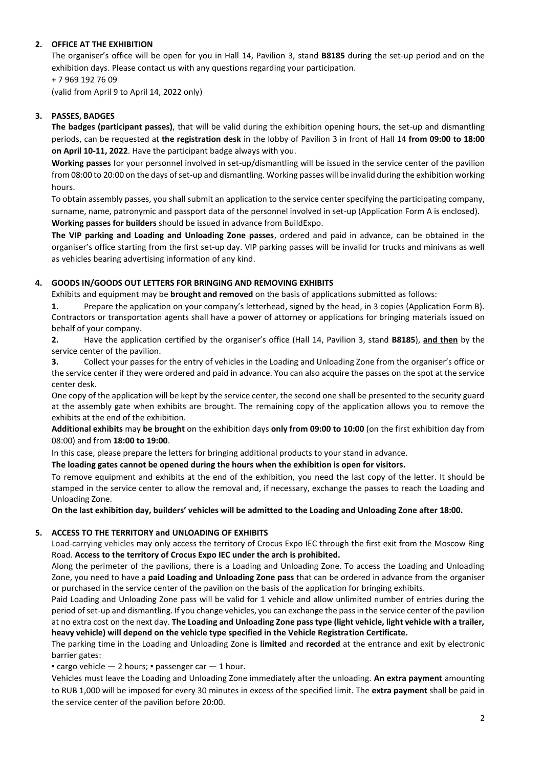## **2. OFFICE AT THE EXHIBITION**

The organiser's office will be open for you in Hall 14, Pavilion 3, stand **B8185** during the set-up period and on the exhibition days. Please contact us with any questions regarding your participation.

+ 7 969 192 76 09

(valid from April 9 to April 14, 2022 only)

## **3. PASSES, BADGES**

**The badges (participant passes)**, that will be valid during the exhibition opening hours, the set-up and dismantling periods, can be requested at **the registration desk** in the lobby of Pavilion 3 in front of Hall 14 **from 09:00 to 18:00 on April 10-11, 2022**. Have the participant badge always with you.

**Working passes** for your personnel involved in set-up/dismantling will be issued in the service center of the pavilion from 08:00 to 20:00 on the days of set-up and dismantling. Working passes will be invalid during the exhibition working hours.

To obtain assembly passes, you shall submit an application to the service center specifying the participating company, surname, name, patronymic and passport data of the personnel involved in set-up (Application Form А is enclosed). **Working passes for builders** should be issued in advance from BuildExpo.

**The VIP parking and Loading and Unloading Zone passes**, ordered and paid in advance, can be obtained in the organiser's office starting from the first set-up day. VIP parking passes will be invalid for trucks and minivans as well as vehicles bearing advertising information of any kind.

## **4. GOODS IN/GOODS OUT LETTERS FOR BRINGING AND REMOVING EXHIBITS**

Exhibits and equipment may be **brought and removed** on the basis of applications submitted as follows:

**1.** Prepare the application on your company's letterhead, signed by the head, in 3 copies (Application Form B). Contractors or transportation agents shall have a power of attorney or applications for bringing materials issued on behalf of your company.

**2.** Have the application certified by the organiser's office (Hall 14, Pavilion 3, stand **B8185**), **and then** by the service center of the pavilion.

**3.** Collect your passes for the entry of vehicles in the Loading and Unloading Zone from the organiser's office or the service center if they were ordered and paid in advance. You can also acquire the passes on the spot at the service center desk.

One copy of the application will be kept by the service center, the second one shall be presented to the security guard at the assembly gate when exhibits are brought. The remaining copy of the application allows you to remove the exhibits at the end of the exhibition.

**Additional exhibits** may **be brought** on the exhibition days **only from 09:00 to 10:00** (on the first exhibition day from 08:00) and from **18:00 to 19:00**.

In this case, please prepare the letters for bringing additional products to your stand in advance.

**The loading gates cannot be opened during the hours when the exhibition is open for visitors.**

To remove equipment and exhibits at the end of the exhibition, you need the last copy of the letter. It should be stamped in the service center to allow the removal and, if necessary, exchange the passes to reach the Loading and Unloading Zone.

**On the last exhibition day, builders' vehicles will be admitted to the Loading and Unloading Zone after 18:00.**

#### **5. ACCESS TO THE TERRITORY and UNLOADING OF EXHIBITS**

Load-carrying vehicles may only access the territory of Crocus Expo IEC through the first exit from the Moscow Ring Road. **Access to the territory of Crocus Expo IEC under the arch is prohibited.**

Along the perimeter of the pavilions, there is a Loading and Unloading Zone. To access the Loading and Unloading Zone, you need to have a **paid Loading and Unloading Zone pass** that can be ordered in advance from the organiser or purchased in the service center of the pavilion on the basis of the application for bringing exhibits.

Paid Loading and Unloading Zone pass will be valid for 1 vehicle and allow unlimited number of entries during the period of set-up and dismantling. If you change vehicles, you can exchange the pass in the service center of the pavilion at no extra cost on the next day. **The Loading and Unloading Zone pass type (light vehicle, light vehicle with a trailer, heavy vehicle) will depend on the vehicle type specified in the Vehicle Registration Certificate.**

The parking time in the Loading and Unloading Zone is **limited** and **recorded** at the entrance and exit by electronic barrier gates:

**• cargo vehicle — 2 hours; • passenger car — 1 hour.** 

Vehicles must leave the Loading and Unloading Zone immediately after the unloading. **An extra payment** amounting to RUB 1,000 will be imposed for every 30 minutes in excess of the specified limit. The **extra payment** shall be paid in the service center of the pavilion before 20:00.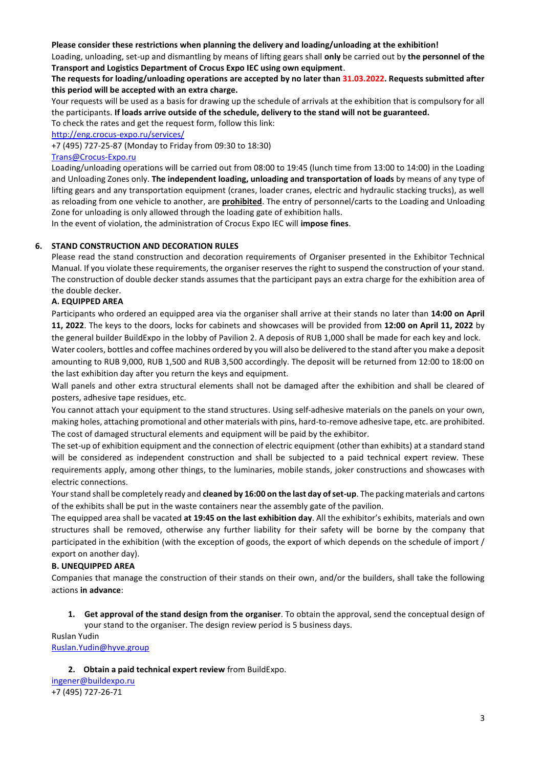## **Please consider these restrictions when planning the delivery and loading/unloading at the exhibition!**

Loading, unloading, set-up and dismantling by means of lifting gears shall **only** be carried out by **the personnel of the Transport and Logistics Department of Crocus Expo IEC using own equipment**.

## **The requests for loading/unloading operations are accepted by no later than 31.03.2022. Requests submitted after this period will be accepted with an extra charge.**

Your requests will be used as a basis for drawing up the schedule of arrivals at the exhibition that is compulsory for all the participants. **If loads arrive outside of the schedule, delivery to the stand will not be guaranteed.**

To check the rates and get the request form, follow this link:

<http://eng.crocus-expo.ru/services/>

+7 (495) 727-25-87 (Monday to Friday from 09:30 to 18:30)

## [Trans@Crocus-Expo.ru](mailto:Trans@Crocus-Expo.ru)

Loading/unloading operations will be carried out from 08:00 to 19:45 (lunch time from 13:00 to 14:00) in the Loading and Unloading Zones only. **The independent loading, unloading and transportation of loads** by means of any type of lifting gears and any transportation equipment (cranes, loader cranes, electric and hydraulic stacking trucks), as well as reloading from one vehicle to another, are **prohibited**. The entry of personnel/carts to the Loading and Unloading Zone for unloading is only allowed through the loading gate of exhibition halls.

In the event of violation, the administration of Crocus Expo IEC will **impose fines**.

## **6. STAND CONSTRUCTION AND DECORATION RULES**

Please read the stand construction and decoration requirements of Organiser presented in the Exhibitor Technical Manual. If you violate these requirements, the organiser reserves the right to suspend the construction of your stand. The construction of double decker stands assumes that the participant pays an extra charge for the exhibition area of the double decker.

## **A. EQUIPPED AREA**

Participants who ordered an equipped area via the organiser shall arrive at their stands no later than **14:00 on April 11, 2022**. The keys to the doors, locks for cabinets and showcases will be provided from **12:00 on April 11, 2022** by the general builder BuildExpo in the lobby of Pavilion 2. A deposis of RUB 1,000 shall be made for each key and lock.

Water coolers, bottles and coffee machines ordered by you will also be delivered to the stand after you make a deposit amounting to RUB 9,000, RUB 1,500 and RUB 3,500 accordingly. The deposit will be returned from 12:00 to 18:00 on the last exhibition day after you return the keys and equipment.

Wall panels and other extra structural elements shall not be damaged after the exhibition and shall be cleared of posters, adhesive tape residues, etc.

You cannot attach your equipment to the stand structures. Using self-adhesive materials on the panels on your own, making holes, attaching promotional and other materials with pins, hard-to-remove adhesive tape, etc. are prohibited. The cost of damaged structural elements and equipment will be paid by the exhibitor.

The set-up of exhibition equipment and the connection of electric equipment (other than exhibits) at a standard stand will be considered as independent construction and shall be subjected to a paid technical expert review. These requirements apply, among other things, to the luminaries, mobile stands, joker constructions and showcases with electric connections.

Your stand shall be completely ready and **cleaned by 16:00 on the last day of set-up**. The packing materials and cartons of the exhibits shall be put in the waste containers near the assembly gate of the pavilion.

The equipped area shall be vacated **at 19:45 on the last exhibition day**. All the exhibitor's exhibits, materials and own structures shall be removed, otherwise any further liability for their safety will be borne by the company that participated in the exhibition (with the exception of goods, the export of which depends on the schedule of import / export on another day).

#### **B. UNEQUIPPED AREA**

Companies that manage the construction of their stands on their own, and/or the builders, shall take the following actions **in advance**:

**1. Get approval of the stand design from the organiser**. To obtain the approval, send the conceptual design of your stand to the organiser. The design review period is 5 business days.

Ruslan Yudin [Ruslan.Yudin@hyve.group](mailto:Ruslan.Yudin@hyve.group)

#### **2. Obtain a paid technical expert review** from BuildExpo.

[ingener@buildexpo.ru](mailto:ingener@buildexpo.ru) +7 (495) 727-26-71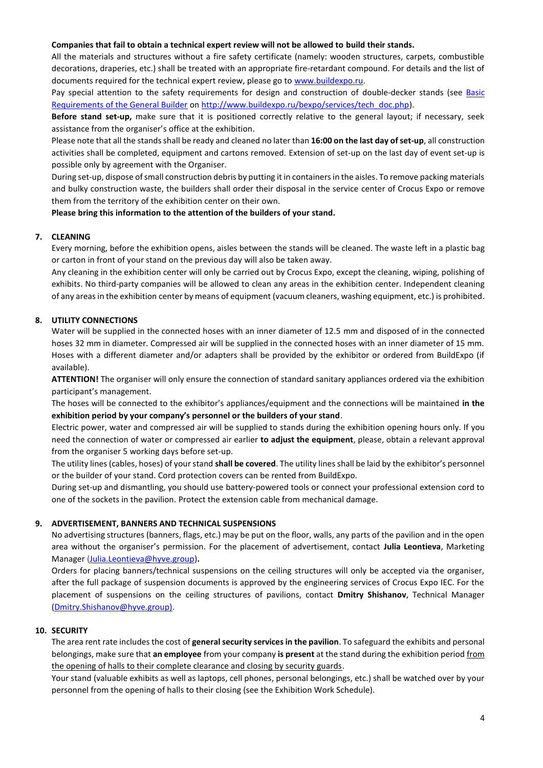#### **Companies that fail to obtain a technical expert review will not be allowed to build their stands.**

All the materials and structures without a fire safety certificate (namely: wooden structures, carpets, combustible decorations, draperies, etc.) shall be treated with an appropriate fire-retardant compound. For details and the list of documents required for the technical expert review, please go to [www.buildexpo.ru.](http://www.buildexpo.ru/)

Pay special attention to the safety requirements for design and construction of double-decker stands (see Basic [Requirements of the General Builder](http://www.buildexpo.ru/bexpo/services/tech_doc.php) on [http://www.buildexpo.ru/bexpo/services/tech\\_doc.php\)](http://www.buildexpo.ru/bexpo/services/tech_doc.php).

**Before stand set-up,** make sure that it is positioned correctly relative to the general layout; if necessary, seek assistance from the organiser's office at the exhibition.

Please note that all the stands shall be ready and cleaned no later than **16:00 on the last day of set-up**, all construction activities shall be completed, equipment and cartons removed. Extension of set-up on the last day of event set-up is possible only by agreement with the Organiser.

During set-up, dispose of small construction debris by putting it in containers in the aisles. To remove packing materials and bulky construction waste, the builders shall order their disposal in the service center of Crocus Expo or remove them from the territory of the exhibition center on their own.

#### **Please bring this information to the attention of the builders of your stand.**

#### **7. CLEANING**

Every morning, before the exhibition opens, aisles between the stands will be cleaned. The waste left in a plastic bag or carton in front of your stand on the previous day will also be taken away.

Any cleaning in the exhibition center will only be carried out by Crocus Expo, except the cleaning, wiping, polishing of exhibits. No third-party companies will be allowed to clean any areas in the exhibition center. Independent cleaning of any areas in the exhibition center by means of equipment (vacuum cleaners, washing equipment, etc.) is prohibited.

#### **8. UTILITY CONNECTIONS**

Water will be supplied in the connected hoses with an inner diameter of 12.5 mm and disposed of in the connected hoses 32 mm in diameter. Compressed air will be supplied in the connected hoses with an inner diameter of 15 mm. Hoses with a different diameter and/or adapters shall be provided by the exhibitor or ordered from BuildExpo (if available).

**ATTENTION!** The organiser will only ensure the connection of standard sanitary appliances ordered via the exhibition participant's management.

The hoses will be connected to the exhibitor's appliances/equipment and the connections will be maintained **in the exhibition period by your company's personnel or the builders of your stand**.

Electric power, water and compressed air will be supplied to stands during the exhibition opening hours only. If you need the connection of water or compressed air earlier **to adjust the equipment**, please, obtain a relevant approval from the organiser 5 working days before set-up.

The utility lines (cables, hoses) of your stand **shall be covered**. The utility lines shall be laid by the exhibitor's personnel or the builder of your stand. Cord protection covers can be rented from BuildExpo.

During set-up and dismantling, you should use battery-powered tools or connect your professional extension cord to one of the sockets in the pavilion. Protect the extension cable from mechanical damage.

#### **9. ADVERTISEMENT, BANNERS AND TECHNICAL SUSPENSIONS**

No advertising structures (banners, flags, etc.) may be put on the floor, walls, any parts of the pavilion and in the open area without the organiser's permission. For the placement of advertisement, contact **Julia Leontieva**, Marketing Manager [\(Julia.Leontieva@hyve.group\)](mailto:Julia.Leontieva@hyve.group)**.**

Orders for placing banners/technical suspensions on the ceiling structures will only be accepted via the organiser, after the full package of suspension documents is approved by the engineering services of Crocus Expo IEC. For the placement of suspensions on the ceiling structures of pavilions, contact **Dmitry Shishanov**, Technical Manager [\(Dmitry.Shishanov@hyve.group\)](mailto:Dmitry.Shishanov@hyve.group).

#### **10. SECURITY**

The area rent rate includes the cost of **general security services in the pavilion**. To safeguard the exhibits and personal belongings, make sure that **an employee** from your company **is present** at the stand during the exhibition period from the opening of halls to their complete clearance and closing by security guards.

Your stand (valuable exhibits as well as laptops, cell phones, personal belongings, etc.) shall be watched over by your personnel from the opening of halls to their closing (see the Exhibition Work Schedule).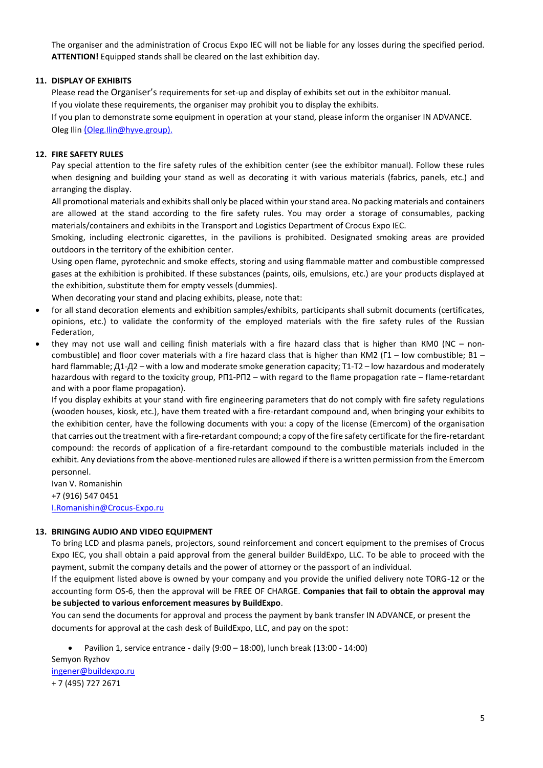The organiser and the administration of Crocus Expo IEC will not be liable for any losses during the specified period. **ATTENTION!** Equipped stands shall be cleared on the last exhibition day.

## **11. DISPLAY OF EXHIBITS**

Please read the Organiser's requirements for set-up and display of exhibits set out in the exhibitor manual. If you violate these requirements, the organiser may prohibit you to display the exhibits.

If you plan to demonstrate some equipment in operation at your stand, please inform the organiser IN ADVANCE. Oleg Ilin ([Oleg.Ilin@hyve.group\).](mailto:(Oleg.Ilin@hyve.group).)

#### **12. FIRE SAFETY RULES**

Pay special attention to the fire safety rules of the exhibition center (see the exhibitor manual). Follow these rules when designing and building your stand as well as decorating it with various materials (fabrics, panels, etc.) and arranging the display.

All promotional materials and exhibits shall only be placed within your stand area. No packing materials and containers are allowed at the stand according to the fire safety rules. You may order a storage of consumables, packing materials/containers and exhibits in the Transport and Logistics Department of Crocus Expo IEC.

Smoking, including electronic cigarettes, in the pavilions is prohibited. Designated smoking areas are provided outdoors in the territory of the exhibition center.

Using open flame, pyrotechnic and smoke effects, storing and using flammable matter and combustible compressed gases at the exhibition is prohibited. If these substances (paints, oils, emulsions, etc.) are your products displayed at the exhibition, substitute them for empty vessels (dummies).

When decorating your stand and placing exhibits, please, note that:

- for all stand decoration elements and exhibition samples/exhibits, participants shall submit documents (certificates, opinions, etc.) to validate the conformity of the employed materials with the fire safety rules of the Russian Federation,
- they may not use wall and ceiling finish materials with a fire hazard class that is higher than КМ0 (NC noncombustible) and floor cover materials with a fire hazard class that is higher than KM2 ( $\Gamma$ 1 – low combustible; B1 – hard flammable; Д1-Д2 – with a low and moderate smoke generation capacity; Т1-Т2 – low hazardous and moderately hazardous with regard to the toxicity group, РП1-РП2 – with regard to the flame propagation rate – flame-retardant and with a poor flame propagation).

If you display exhibits at your stand with fire engineering parameters that do not comply with fire safety regulations (wooden houses, kiosk, etc.), have them treated with a fire-retardant compound and, when bringing your exhibits to the exhibition center, have the following documents with you: a copy of the license (Emercom) of the organisation that carries out the treatment with a fire-retardant compound; a copy of the fire safety certificate for the fire-retardant compound: the records of application of a fire-retardant compound to the combustible materials included in the exhibit. Any deviations from the above-mentioned rules are allowed if there is a written permission from the Emercom personnel.

Ivan V. Romanishin +7 (916) 547 0451 [I.Romanishin@Crocus-Expo.ru](mailto:I.Romanishin@Crocus-Expo.ru)

#### **13. BRINGING AUDIO AND VIDEO EQUIPMENT**

To bring LCD and plasma panels, projectors, sound reinforcement and concert equipment to the premises of Crocus Expo IEC, you shall obtain a paid approval from the general builder BuildExpo, LLC. To be able to proceed with the payment, submit the company details and the power of attorney or the passport of an individual.

If the equipment listed above is owned by your company and you provide the unified delivery note TORG-12 or the accounting form OS-6, then the approval will be FREE OF CHARGE. **Companies that fail to obtain the approval may be subjected to various enforcement measures by BuildExpo**.

You can send the documents for approval and process the payment by bank transfer IN ADVANCE, or present the documents for approval at the cash desk of BuildExpo, LLC, and pay on the spot:

• Pavilion 1, service entrance - daily (9:00 – 18:00), lunch break (13:00 - 14:00)

Semyon Ryzhov [ingener@buildexpo.ru](mailto:ingener@buildexpo.ru) + 7 (495) 727 2671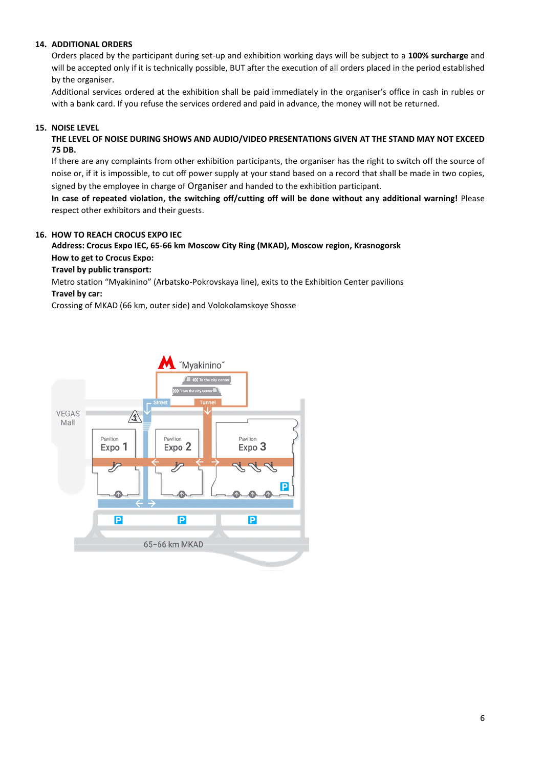## **14. ADDITIONAL ORDERS**

Orders placed by the participant during set-up and exhibition working days will be subject to a **100% surcharge** and will be accepted only if it is technically possible, BUT after the execution of all orders placed in the period established by the organiser.

Additional services ordered at the exhibition shall be paid immediately in the organiser's office in cash in rubles or with a bank card. If you refuse the services ordered and paid in advance, the money will not be returned.

## **15. NOISE LEVEL**

**THE LEVEL OF NOISE DURING SHOWS AND AUDIO/VIDEO PRESENTATIONS GIVEN AT THE STAND MAY NOT EXCEED 75 DB.**

If there are any complaints from other exhibition participants, the organiser has the right to switch off the source of noise or, if it is impossible, to cut off power supply at your stand based on a record that shall be made in two copies, signed by the employee in charge of Organiser and handed to the exhibition participant.

**In case of repeated violation, the switching off/cutting off will be done without any additional warning!** Please respect other exhibitors and their guests.

## **16. HOW TO REACH CROCUS EXPO IEC**

# **Address: Crocus Expo IEC, 65-66 km Moscow City Ring (MKAD), Moscow region, Krasnogorsk How to get to Crocus Expo:**

#### **Travel by public transport:**

Metro station "Myakinino" (Arbatsko-Pokrovskaya line), exits to the Exhibition Center pavilions

## **Travel by car:**

Crossing of MKAD (66 km, outer side) and Volokolamskoye Shosse

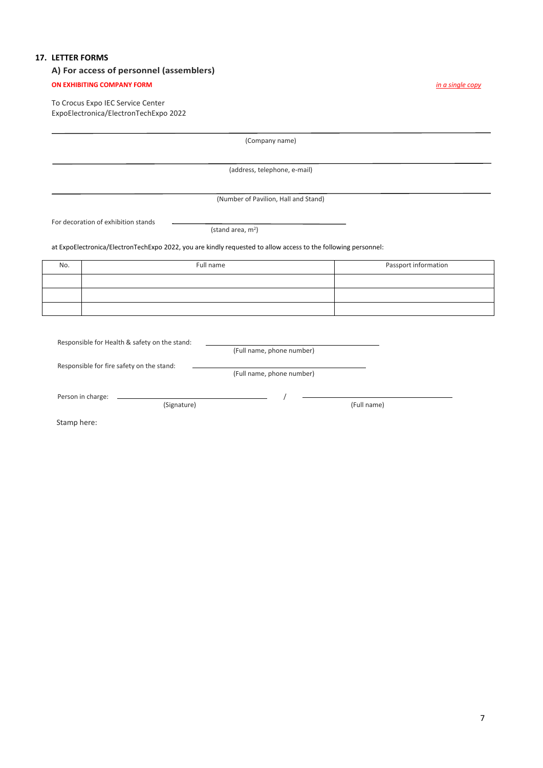# **17. LETTER FORMS**

# **А) For access of personnel (assemblers)**

## **ON EXHIBITING COMPANY FORM** *in a single copy*

To Crocus Expo IEC Service Center ExpoElectronica/ElectronTechExpo 2022

|             |                                                                                                                | (Company name)                       |                      |
|-------------|----------------------------------------------------------------------------------------------------------------|--------------------------------------|----------------------|
|             |                                                                                                                | (address, telephone, e-mail)         |                      |
|             |                                                                                                                |                                      |                      |
|             |                                                                                                                | (Number of Pavilion, Hall and Stand) |                      |
|             | For decoration of exhibition stands                                                                            |                                      |                      |
|             |                                                                                                                | (stand area, m <sup>2</sup> )        |                      |
|             | at ExpoElectronica/ElectronTechExpo 2022, you are kindly requested to allow access to the following personnel: |                                      |                      |
| No.         | Full name                                                                                                      |                                      | Passport information |
|             |                                                                                                                |                                      |                      |
|             |                                                                                                                |                                      |                      |
|             |                                                                                                                |                                      |                      |
|             |                                                                                                                |                                      |                      |
|             | Responsible for Health & safety on the stand:                                                                  | (Full name, phone number)            |                      |
|             |                                                                                                                |                                      |                      |
|             | Responsible for fire safety on the stand:                                                                      | (Full name, phone number)            |                      |
|             |                                                                                                                |                                      |                      |
|             | Person in charge:<br>(Signature)                                                                               |                                      | (Full name)          |
| Stamp here: |                                                                                                                |                                      |                      |
|             |                                                                                                                |                                      |                      |
|             |                                                                                                                |                                      |                      |